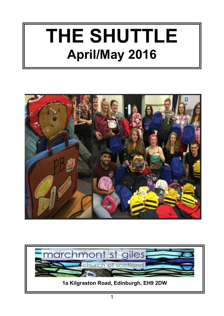# **THE SHUTTLE April/May 2016**



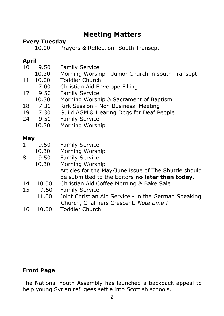#### **Meeting Matters**

# **Every Tuesday**<br>10.00 Pra

Prayers & Reflection South Transept

#### **April**

| 10  | 9.50    | <b>Family Service</b>                                 |  |
|-----|---------|-------------------------------------------------------|--|
|     | 10.30   | Morning Worship - Junior Church in south Transept     |  |
| 11  | 10.00   | <b>Toddler Church</b>                                 |  |
|     | 7.00    | Christian Aid Envelope Filling                        |  |
| 17  | 9.50    | <b>Family Service</b>                                 |  |
|     | 10.30   | Morning Worship & Sacrament of Baptism                |  |
|     | 18 7.30 | Kirk Session - Non Business Meeting                   |  |
|     | 19 7.30 | Guild AGM & Hearing Dogs for Deaf People              |  |
|     | 24 9.50 | <b>Family Service</b>                                 |  |
|     | 10.30   | Morning Worship                                       |  |
|     |         |                                                       |  |
| May |         |                                                       |  |
| 1   | 9.50    | <b>Family Service</b>                                 |  |
|     | 10.30   | Morning Worship                                       |  |
| 8   | 9.50    | <b>Family Service</b>                                 |  |
|     | 10.30   | Morning Worship                                       |  |
|     |         | Articles for the May/June issue of The Shuttle should |  |
|     |         | be submitted to the Editors no later than today.      |  |
| 14  | 10.00   | Christian Aid Coffee Morning & Bake Sale              |  |
| 15  | 9.50    | <b>Family Service</b>                                 |  |
|     | 11.00   | Joint Christian Aid Service - in the German Speaking  |  |
|     |         | Church, Chalmers Crescent. Note time !                |  |
| 16  | 10.00   | <b>Toddler Church</b>                                 |  |
|     |         |                                                       |  |

#### **Front Page**

The National Youth Assembly has launched a backpack appeal to help young Syrian refugees settle into Scottish schools.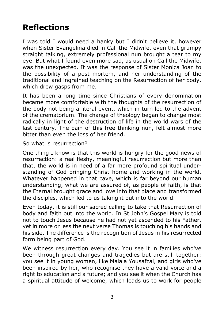# **Reflections**

I was told I would need a hanky but I didn't believe it, however when Sister Evangelina died in Call the Midwife, even that grumpy straight talking, extremely professional nun brought a tear to my eye. But what I found even more sad, as usual on Call the Midwife, was the unexpected. It was the response of Sister Monica Joan to the possibility of a post mortem, and her understanding of the traditional and ingrained teaching on the Resurrection of her body, which drew gasps from me.

It has been a long time since Christians of every denomination became more comfortable with the thoughts of the resurrection of the body not being a literal event, which in turn led to the advent of the crematorium. The change of theology began to change most radically in light of the destruction of life in the world wars of the last century. The pain of this free thinking nun, felt almost more bitter than even the loss of her friend.

So what is resurrection?

One thing I know is that this world is hungry for the good news of resurrection: a real fleshy, meaningful resurrection but more than that, the world is in need of a far more profound spiritual understanding of God bringing Christ home and working in the world. Whatever happened in that cave, which is far beyond our human understanding, what we are assured of, as people of faith, is that the Eternal brought grace and love into that place and transformed the disciples, which led to us taking it out into the world.

Even today, it is still our sacred calling to take that Resurrection of body and faith out into the world. In St John's Gospel Mary is told not to touch Jesus because he had not yet ascended to his Father, yet in more or less the next verse Thomas is touching his hands and his side. The difference is the recognition of Jesus in his resurrected form being part of God.

We witness resurrection every day. You see it in families who've been through great changes and tragedies but are still together: you see it in young women, like Malala Yousafzai, and girls who've been inspired by her, who recognise they have a valid voice and a right to education and a future; and you see it when the Church has a spiritual attitude of welcome, which leads us to work for people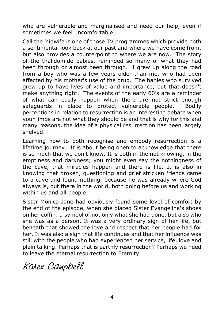who are vulnerable and marginalised and need our help, even if sometimes we feel uncomfortable.

Call the Midwife is one of those TV programmes which provide both a sentimental look back at our past and where we have come from, but also provides a counterpoint to where we are now. The story of the thalidomide babies, reminded so many of what they had been through or almost been through. I grew up along the road from a boy who was a few years older than me, who had been affected by his mother's use of the drug. The babies who survived grew up to have lives of value and importance, but that doesn't make anything right. The events of the early 60's are a reminder of what can easily happen when there are not strict enough safeguards in place to protect vulnerable people. Bodily perceptions in relation to resurrection is an interesting debate when your limbs are not what they should be and that is why for this and many reasons, the idea of a physical resurrection has been largely shelved.

Learning how to both recognise and embody resurrection is a lifetime journey. It is about being open to acknowledge that there is so much that we don't know. It is both in the not knowing, in the emptiness and darkness; you might even say the nothingness of the cave, that miracles happen and there is life. It is also in knowing that broken, questioning and grief stricken friends came to a cave and found nothing, because he was already where God always is, out there in the world, both going before us and working within us and all people.

Sister Monica Jane had obviously found some level of comfort by the end of the episode, when she placed Sister Evangelina's shoes on her coffin: a symbol of not only what she had done, but also who she was as a person. It was a very ordinary sign of her life, but beneath that showed the love and respect that her people had for her. It was also a sign that life continues and that her influence was still with the people who had experienced her service, life, love and plain talking. Perhaps that is earthly resurrection? Perhaps we need to leave the eternal resurrection to Eternity.

Karen Campbell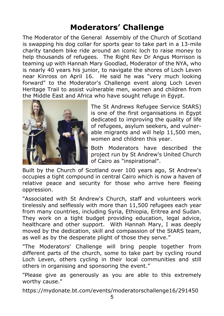# **Moderators' Challenge**

The Moderator of the General Assembly of the Church of Scotland is swapping his dog collar for sports gear to take part in a 13-mile charity tandem bike ride around an iconic loch to raise money to help thousands of refugees. The Right Rev Dr Angus Morrison is teaming up with Hannah Mary Goodlad, Moderator of the NYA, who is nearly 40 years his junior, to navigate the shores of Loch Leven near Kinross on April 16. He said he was "very much looking forward" to the Moderator's Challenge event along Loch Leven Heritage Trail to assist vulnerable men, women and children from the Middle East and Africa who have sought refuge in Egypt.



The St Andrews Refugee Service StARS) is one of the first organisations in Egypt dedicated to improving the quality of life of refugees, asylum seekers, and vulnerable migrants and will help 11,500 men, women and children this year.

Both Moderators have described the project run by St Andrew's United Church of Cairo as "inspirational".

Built by the Church of Scotland over 100 years ago, St Andrew's occupies a tight compound in central Cairo which is now a haven of relative peace and security for those who arrive here fleeing oppression.

"Associated with St Andrew's Church, staff and volunteers work tirelessly and selflessly with more than 11,500 refugees each year from many countries, including Syria, Ethiopia, Eritrea and Sudan. They work on a tight budget providing education, legal advice, healthcare and other support. With Hannah Mary, I was deeply moved by the dedication, skill and compassion of the StARS team, as well as by the desperate plight of those they serve."

"The Moderators' Challenge will bring people together from different parts of the church, some to take part by cycling round Loch Leven, others cycling in their local communities and still others in organising and sponsoring the event."

"Please give as generously as you are able to this extremely worthy cause."

https://mydonate.bt.com/events/moderatorschallenge16/291450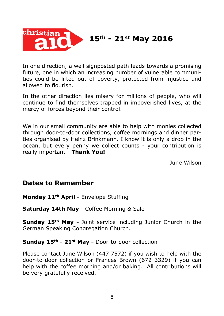

# **15th - 21st May 2016**

In one direction, a well signposted path leads towards a promising future, one in which an increasing number of vulnerable communities could be lifted out of poverty, protected from injustice and allowed to flourish.

In the other direction lies misery for millions of people, who will continue to find themselves trapped in impoverished lives, at the mercy of forces beyond their control.

We in our small community are able to help with monies collected through door-to-door collections, coffee mornings and dinner parties organised by Heinz Brinkmann. I know it is only a drop in the ocean, but every penny we collect counts - your contribution is really important - **Thank You!**

June Wilson

#### **Dates to Remember**

**Monday 11th April -** Envelope Stuffing

**Saturday 14th May** - Coffee Morning & Sale

**Sunday 15th May -** Joint service including Junior Church in the German Speaking Congregation Church.

**Sunday 15th - 21st May -** Door-to-door collection

Please contact June Wilson (447 7572) if you wish to help with the door-to-door collection or Frances Brown (672 3329) if you can help with the coffee morning and/or baking. All contributions will be very gratefully received.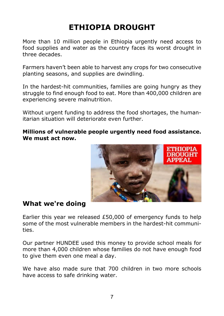# **ETHIOPIA DROUGHT**

More than 10 million people in Ethiopia urgently need access to food supplies and water as the country faces its worst drought in three decades.

Farmers haven't been able to harvest any crops for two consecutive planting seasons, and supplies are dwindling.

In the hardest-hit communities, families are going hungry as they struggle to find enough food to eat. More than 400,000 children are experiencing severe malnutrition.

Without urgent funding to address the food shortages, the humanitarian situation will deteriorate even further.

#### **Millions of vulnerable people urgently need food assistance. We must act now.**



#### **What we're doing**

Earlier this year we released £50,000 of emergency funds to help some of the most vulnerable members in the hardest-hit communities.

Our partner HUNDEE used this money to provide school meals for more than 4,000 children whose families do not have enough food to give them even one meal a day.

We have also made sure that 700 children in two more schools have access to safe drinking water.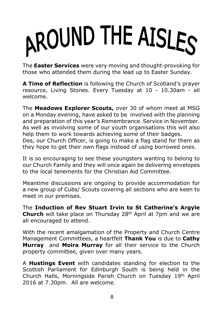# AROUND THE AISLES

The **Easter Services** were very moving and thought-provoking for those who attended them during the lead up to Easter Sunday.

**A Time of Reflection** is following the Church of Scotland's prayer resource, Living Stones. Every Tuesday at 10 - 10.30am - all welcome.

The **Meadows Explorer Scouts,** over 30 of whom meet at MSG on a Monday evening, have asked to be involved with the planning and preparation of this year's Remembrance Service in November. As well as involving some of our youth organisations this will also help them to work towards achieving some of their badges. Des, our Church Officer, is going to make a flag stand for them as they hope to get their own flags instead of using borrowed ones.

It is so encouraging to see these youngsters wanting to belong to our Church Family and they will once again be delivering envelopes to the local tenements for the Christian Aid Committee.

Meantime discussions are ongoing to provide accommodation for a new group of Cubs/ Scouts covering all sections who are keen to meet in our premises.

The **Induction of Rev Stuart Irvin to St Catherine's Argyle Church** will take place on Thursday 28th April at 7pm and we are all encouraged to attend.

With the recent amalgamation of the Property and Church Centre Management Committees, a heartfelt **Thank You** is due to **Cathy Murray** and **Moira Murray** for all their service to the Church property committee, given over many years.

A **Hustings Event** with candidates standing for election to the Scottish Parliament for Edinburgh South is being held in the Church Halls, Morningside Parish Church on Tuesday 19th April 2016 at 7.30pm. All are welcome.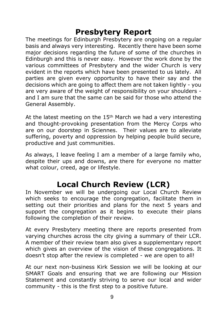# **Presbytery Report**

The meetings for Edinburgh Presbytery are ongoing on a regular basis and always very interesting. Recently there have been some major decisions regarding the future of some of the churches in Edinburgh and this is never easy. However the work done by the various committees of Presbytery and the wider Church is very evident in the reports which have been presented to us lately. All parties are given every opportunity to have their say and the decisions which are going to affect them are not taken lightly - you are very aware of the weight of responsibility on your shoulders and I am sure that the same can be said for those who attend the General Assembly.

At the latest meeting on the  $15<sup>th</sup>$  March we had a very interesting and thought-provoking presentation from the Mercy Corps who are on our doorstep in Sciennes. Their values are to alleviate suffering, poverty and oppression by helping people build secure, productive and just communities.

As always, I leave feeling I am a member of a large family who, despite their ups and downs, are there for everyone no matter what colour, creed, age or lifestyle.

# **Local Church Review (LCR)**

In November we will be undergoing our Local Church Review which seeks to encourage the congregation, facilitate them in setting out their priorities and plans for the next 5 years and support the congregation as it begins to execute their plans following the completion of their review.

At every Presbytery meeting there are reports presented from varying churches across the city giving a summary of their LCR. A member of their review team also gives a supplementary report which gives an overview of the vision of these congregations. It doesn't stop after the review is completed - we are open to all!

At our next non-business Kirk Session we will be looking at our SMART Goals and ensuring that we are following our Mission Statement and constantly striving to serve our local and wider community - this is the first step to a positive future.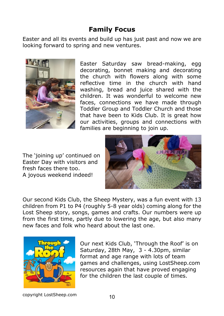#### **Family Focus**

Easter and all its events and build up has just past and now we are looking forward to spring and new ventures.



Easter Saturday saw bread-making, egg decorating, bonnet making and decorating the church with flowers along with some reflective time in the church with hand washing, bread and juice shared with the children. It was wonderful to welcome new faces, connections we have made through Toddler Group and Toddler Church and those that have been to Kids Club. It is great how our activities, groups and connections with families are beginning to join up.

The 'joining up' continued on Easter Day with visitors and fresh faces there too. A joyous weekend indeed!



Our second Kids Club, the Sheep Mystery, was a fun event with 13 children from P1 to P4 (roughly 5-8 year olds) coming along for the Lost Sheep story, songs, games and crafts. Our numbers were up from the first time, partly due to lowering the age, but also many new faces and folk who heard about the last one.



Our next Kids Club, 'Through the Roof' is on Saturday, 28th May, 3 - 4.30pm, similar format and age range with lots of team games and challenges, using LostSheep.com resources again that have proved engaging for the children the last couple of times.

copyright LostSheep.com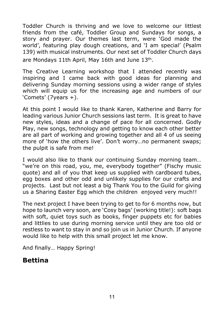Toddler Church is thriving and we love to welcome our littlest friends from the café, Toddler Group and Sundays for songs, a story and prayer. Our themes last term, were 'God made the world', featuring play dough creations, and 'I am special' (Psalm 139) with musical instruments. Our next set of Toddler Church days are Mondays 11th April, May 16th and June 13th.

The Creative Learning workshop that I attended recently was inspiring and I came back with good ideas for planning and delivering Sunday morning sessions using a wider range of styles which will equip us for the increasing age and numbers of our 'Comets' (7years +).

At this point I would like to thank Karen, Katherine and Barry for leading various Junior Church sessions last term. It is great to have new styles, ideas and a change of pace for all concerned. Godly Play, new songs, technology and getting to know each other better are all part of working and growing together and all 4 of us seeing more of 'how the others live'. Don't worry…no permanent swaps; the pulpit is safe from me!

I would also like to thank our continuing Sunday morning team… "we're on this road, you, me, everybody together" (Fischy music quote) and all of you that keep us supplied with cardboard tubes, egg boxes and other odd and unlikely supplies for our crafts and projects. Last but not least a big Thank You to the Guild for giving us a Sharing Easter Egg which the children enjoyed very much!!

The next project I have been trying to get to for 6 months now, but hope to launch very soon, are 'Cosy bags' (working title!): soft bags with soft, quiet toys such as books, finger puppets etc for babies and littlies to use during morning service until they are too old or restless to want to stay in and so join us in Junior Church. If anyone would like to help with this small project let me know.

And finally… Happy Spring!

#### **Bettina**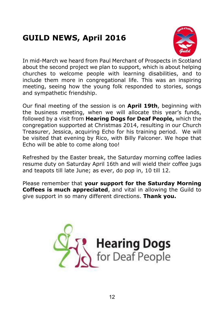# **GUILD NEWS, April 2016**



In mid-March we heard from Paul Merchant of Prospects in Scotland about the second project we plan to support, which is about helping churches to welcome people with learning disabilities, and to include them more in congregational life. This was an inspiring meeting, seeing how the young folk responded to stories, songs and sympathetic friendship.

Our final meeting of the session is on **April 19th**, beginning with the business meeting, when we will allocate this year's funds, followed by a visit from **Hearing Dogs for Deaf People,** which the congregation supported at Christmas 2014, resulting in our Church Treasurer, Jessica, acquiring Echo for his training period. We will be visited that evening by Rico, with Billy Falconer. We hope that Echo will be able to come along too!

Refreshed by the Easter break, the Saturday morning coffee ladies resume duty on Saturday April 16th and will wield their coffee jugs and teapots till late June; as ever, do pop in, 10 till 12.

Please remember that **your support for the Saturday Morning Coffees is much appreciated**, and vital in allowing the Guild to give support in so many different directions. **Thank you.**

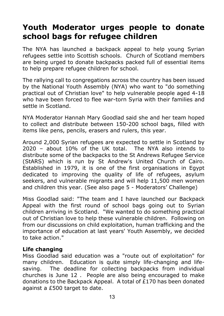# **Youth Moderator urges people to donate school bags for refugee children**

The NYA has launched a backpack appeal to help young Syrian refugees settle into Scottish schools. Church of Scotland members are being urged to donate backpacks packed full of essential items to help prepare refugee children for school.

The rallying call to congregations across the country has been issued by the National Youth Assembly (NYA) who want to "do something practical out of Christian love" to help vulnerable people aged 4-18 who have been forced to flee war-torn Syria with their families and settle in Scotland.

NYA Moderator Hannah Mary Goodlad said she and her team hoped to collect and distribute between 150-200 school bags, filled with items like pens, pencils, erasers and rulers, this year.

Around 2,000 Syrian refugees are expected to settle in Scotland by 2020 – about 10% of the UK total. The NYA also intends to distribute some of the backpacks to the St Andrews Refugee Service (StARS) which is run by St Andrew's United Church of Cairo. Established in 1979, it is one of the first organisations in Egypt dedicated to improving the quality of life of refugees, asylum seekers, and vulnerable migrants and will help 11,500 men women and children this year. (See also page 5 - Moderators' Challenge)

Miss Goodlad said: "The team and I have launched our Backpack Appeal with the first round of school bags going out to Syrian children arriving in Scotland. "We wanted to do something practical out of Christian love to help these vulnerable children. Following on from our discussions on child exploitation, human trafficking and the importance of education at last years' Youth Assembly, we decided to take action."

#### **Life changing**

Miss Goodlad said education was a "route out of exploitation" for many children. Education is quite simply life-changing and lifesaving. The deadline for collecting backpacks from individual churches is June 12 . People are also being encouraged to make donations to the Backpack Appeal. A total of £170 has been donated against a £500 target to date.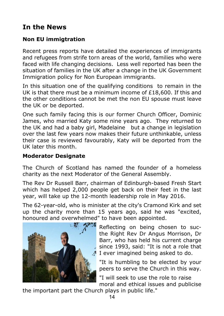### **In the News**

#### **Non EU immigtration**

Recent press reports have detailed the experiences of immigrants and refugees from strife torn areas of the world, families who were faced with life changing decisions. Less well reported has been the situation of families in the UK after a change in the UK Government Immigration policy for Non European immigrants.

In this situation one of the qualifying conditions to remain in the UK is that there must be a minimum income of  $£18,600$ . If this and the other conditions cannot be met the non EU spouse must leave the UK or be deported.

One such family facing this is our former Church Officer, Dominic James, who married Katy some nine years ago. They returned to the UK and had a baby girl, Madelaine but a change in legislation over the last few years now makes their future unthinkable, unless their case is reviewed favourably, Katy will be deported from the UK later this month.

#### **Moderator Designate**

The Church of Scotland has named the founder of a homeless charity as the next Moderator of the General Assembly.

The Rev Dr Russell Barr, chairman of Edinburgh-based Fresh Start which has helped 2,000 people get back on their feet in the last year, will take up the 12-month leadership role in May 2016.

The 62-year-old, who is minister at the city's Cramond Kirk and set up the charity more than 15 years ago, said he was "excited, honoured and overwhelmed" to have been appointed.



 Reflecting on being chosen to sucthe Right Rev Dr Angus Morrison, Dr Barr, who has held his current charge since 1993, said: "It is not a role that I ever imagined being asked to do.

"It is humbling to be elected by your peers to serve the Church in this way.

 "I will seek to use the role to raise moral and ethical issues and publicise

the important part the Church plays in public life."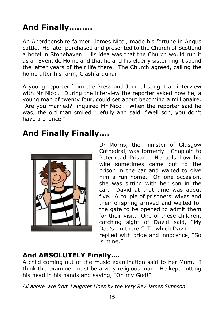# **And Finally………**

An Aberdeenshire farmer, James Nicol, made his fortune in Angus cattle. He later purchased and presented to the Church of Scotland a hotel in Stonehaven. His idea was that the Church would run it as an Eventide Home and that he and his elderly sister might spend the latter years of their life there. The Church agreed, calling the home after his farm, Clashfarquhar.

A young reporter from the Press and Journal sought an interview with Mr Nicol. During the interview the reporter asked how he, a young man of twenty four, could set about becoming a millionaire. "Are you married?" inquired Mr Nicol. When the reporter said he was, the old man smiled ruefully and said, "Well son, you don't have a chance."

# **And Finally Finally….**



Dr Morris, the minister of Glasgow Cathedral, was formerly Chaplain to Peterhead Prison. He tells how his wife sometimes came out to the prison in the car and waited to give him a run home. On one occasion, she was sitting with her son in the car. David at that time was about five. A couple of prisoners' wives and their offspring arrived and waited for the gate to be opened to admit them for their visit. One of these children, catching sight of David said, "My Dad's in there." To which David replied with pride and innocence, "So is mine."

#### **And ABSOLUTELY Finally….**

A child coming out of the music examination said to her Mum, "I think the examiner must be a very religious man . He kept putting his head in his hands and saying, "Oh my God!"

*All above are from Laughter Lines by the Very Rev James Simpson*